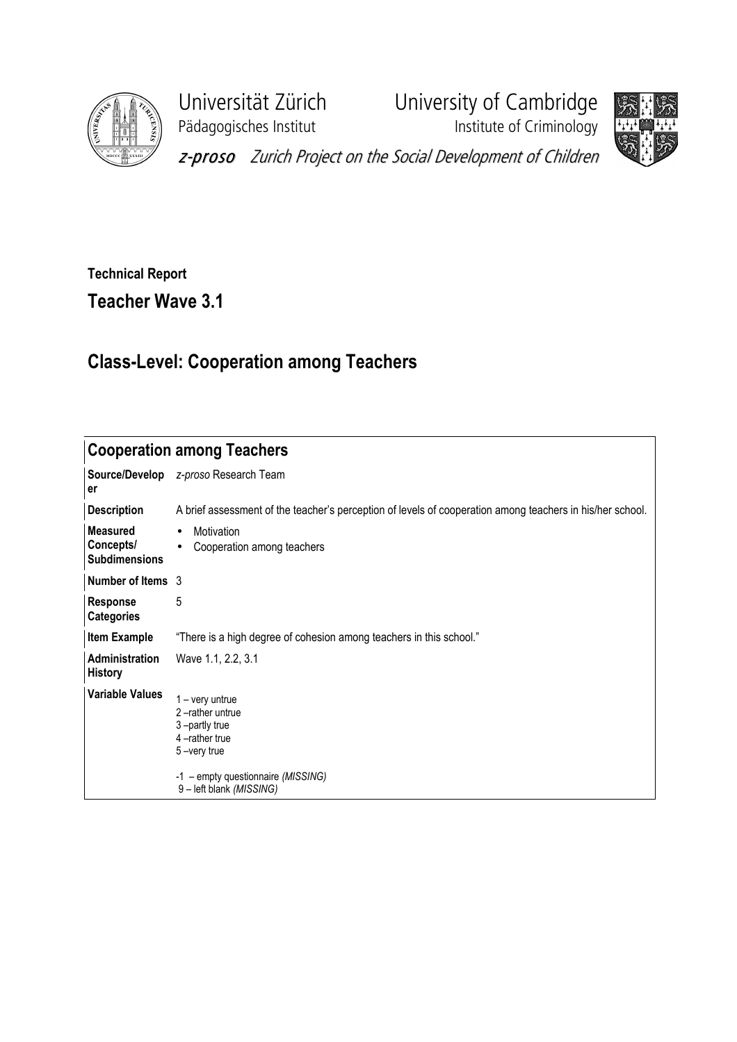

Pädagogisches Institut **Institute of Criminology** 

Universität Zürich University of Cambridge



z-proso Zurich Project on the Social Development of Children

## Technical Report Teacher Wave 3.1

## Class-Level: Cooperation among Teachers

| <b>Cooperation among Teachers</b>                    |                                                                                                                                                         |  |  |  |  |  |  |  |
|------------------------------------------------------|---------------------------------------------------------------------------------------------------------------------------------------------------------|--|--|--|--|--|--|--|
| er                                                   | Source/Develop z-proso Research Team                                                                                                                    |  |  |  |  |  |  |  |
| <b>Description</b>                                   | A brief assessment of the teacher's perception of levels of cooperation among teachers in his/her school.                                               |  |  |  |  |  |  |  |
| <b>Measured</b><br>Concepts/<br><b>Subdimensions</b> | Motivation<br>$\bullet$<br>Cooperation among teachers<br>$\bullet$                                                                                      |  |  |  |  |  |  |  |
| Number of Items 3                                    |                                                                                                                                                         |  |  |  |  |  |  |  |
| Response<br><b>Categories</b>                        | 5                                                                                                                                                       |  |  |  |  |  |  |  |
| <b>Item Example</b>                                  | "There is a high degree of cohesion among teachers in this school."                                                                                     |  |  |  |  |  |  |  |
| Administration<br><b>History</b>                     | Wave 1.1, 2.2, 3.1                                                                                                                                      |  |  |  |  |  |  |  |
| <b>Variable Values</b>                               | $1 - \text{very}$<br>2-rather untrue<br>3-partly true<br>4-rather true<br>5-very true<br>-1 - empty questionnaire (MISSING)<br>9 - left blank (MISSING) |  |  |  |  |  |  |  |